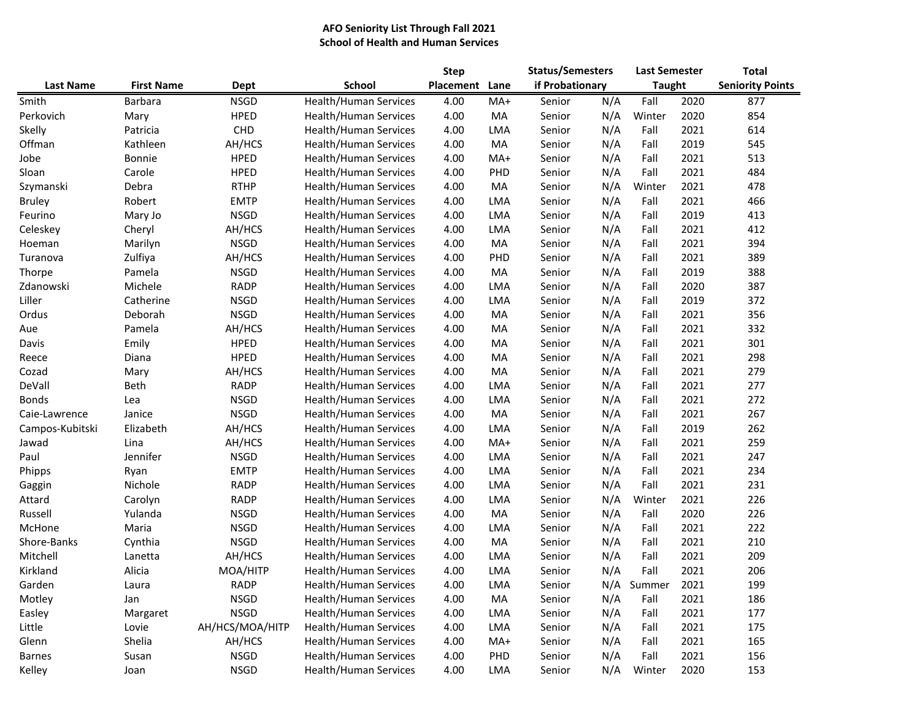## **AFO Seniority List Through Fall 2021 School of Health and Human Services**

|                  |                   |                 |                              | <b>Step</b> |            | <b>Status/Semesters</b> |     | <b>Last Semester</b> |      | <b>Total</b>            |  |
|------------------|-------------------|-----------------|------------------------------|-------------|------------|-------------------------|-----|----------------------|------|-------------------------|--|
| <b>Last Name</b> | <b>First Name</b> | Dept            | School                       | Placement   | Lane       | if Probationary         |     | <b>Taught</b>        |      | <b>Seniority Points</b> |  |
| Smith            | <b>Barbara</b>    | <b>NSGD</b>     | Health/Human Services        | 4.00        | MA+        | Senior                  | N/A | Fall                 | 2020 | 877                     |  |
| Perkovich        | Mary              | HPED            | Health/Human Services        | 4.00        | MA         | Senior                  | N/A | Winter               | 2020 | 854                     |  |
| Skelly           | Patricia          | CHD             | Health/Human Services        | 4.00        | <b>LMA</b> | Senior                  | N/A | Fall                 | 2021 | 614                     |  |
| Offman           | Kathleen          | AH/HCS          | Health/Human Services        | 4.00        | MA         | Senior                  | N/A | Fall                 | 2019 | 545                     |  |
| Jobe             | Bonnie            | <b>HPED</b>     | Health/Human Services        | 4.00        | MA+        | Senior                  | N/A | Fall                 | 2021 | 513                     |  |
| Sloan            | Carole            | <b>HPED</b>     | Health/Human Services        | 4.00        | PHD        | Senior                  | N/A | Fall                 | 2021 | 484                     |  |
| Szymanski        | Debra             | <b>RTHP</b>     | Health/Human Services        | 4.00        | MA         | Senior                  | N/A | Winter               | 2021 | 478                     |  |
| <b>Bruley</b>    | Robert            | <b>EMTP</b>     | Health/Human Services        | 4.00        | LMA        | Senior                  | N/A | Fall                 | 2021 | 466                     |  |
| Feurino          | Mary Jo           | <b>NSGD</b>     | Health/Human Services        | 4.00        | LMA        | Senior                  | N/A | Fall                 | 2019 | 413                     |  |
| Celeskey         | Cheryl            | AH/HCS          | Health/Human Services        | 4.00        | LMA        | Senior                  | N/A | Fall                 | 2021 | 412                     |  |
| Hoeman           | Marilyn           | <b>NSGD</b>     | Health/Human Services        | 4.00        | MA         | Senior                  | N/A | Fall                 | 2021 | 394                     |  |
| Turanova         | Zulfiya           | AH/HCS          | Health/Human Services        | 4.00        | PHD        | Senior                  | N/A | Fall                 | 2021 | 389                     |  |
| Thorpe           | Pamela            | <b>NSGD</b>     | Health/Human Services        | 4.00        | MA         | Senior                  | N/A | Fall                 | 2019 | 388                     |  |
| Zdanowski        | Michele           | <b>RADP</b>     | Health/Human Services        | 4.00        | LMA        | Senior                  | N/A | Fall                 | 2020 | 387                     |  |
| Liller           | Catherine         | <b>NSGD</b>     | <b>Health/Human Services</b> | 4.00        | LMA        | Senior                  | N/A | Fall                 | 2019 | 372                     |  |
| Ordus            | Deborah           | <b>NSGD</b>     | Health/Human Services        | 4.00        | MA         | Senior                  | N/A | Fall                 | 2021 | 356                     |  |
| Aue              | Pamela            | AH/HCS          | Health/Human Services        | 4.00        | MA         | Senior                  | N/A | Fall                 | 2021 | 332                     |  |
| Davis            | Emily             | <b>HPED</b>     | Health/Human Services        | 4.00        | MA         | Senior                  | N/A | Fall                 | 2021 | 301                     |  |
| Reece            | Diana             | <b>HPED</b>     | Health/Human Services        | 4.00        | MA         | Senior                  | N/A | Fall                 | 2021 | 298                     |  |
| Cozad            | Mary              | AH/HCS          | Health/Human Services        | 4.00        | MA         | Senior                  | N/A | Fall                 | 2021 | 279                     |  |
| DeVall           | Beth              | <b>RADP</b>     | Health/Human Services        | 4.00        | LMA        | Senior                  | N/A | Fall                 | 2021 | 277                     |  |
| <b>Bonds</b>     | Lea               | <b>NSGD</b>     | Health/Human Services        | 4.00        | LMA        | Senior                  | N/A | Fall                 | 2021 | 272                     |  |
| Caie-Lawrence    | Janice            | <b>NSGD</b>     | Health/Human Services        | 4.00        | MA         | Senior                  | N/A | Fall                 | 2021 | 267                     |  |
| Campos-Kubitski  | Elizabeth         | AH/HCS          | Health/Human Services        | 4.00        | LMA        | Senior                  | N/A | Fall                 | 2019 | 262                     |  |
| Jawad            | Lina              | AH/HCS          | Health/Human Services        | 4.00        | $MA+$      | Senior                  | N/A | Fall                 | 2021 | 259                     |  |
| Paul             | Jennifer          | <b>NSGD</b>     | Health/Human Services        | 4.00        | LMA        | Senior                  | N/A | Fall                 | 2021 | 247                     |  |
| Phipps           | Ryan              | <b>EMTP</b>     | Health/Human Services        | 4.00        | LMA        | Senior                  | N/A | Fall                 | 2021 | 234                     |  |
| Gaggin           | Nichole           | <b>RADP</b>     | Health/Human Services        | 4.00        | LMA        | Senior                  | N/A | Fall                 | 2021 | 231                     |  |
| Attard           | Carolyn           | <b>RADP</b>     | Health/Human Services        | 4.00        | LMA        | Senior                  | N/A | Winter               | 2021 | 226                     |  |
| Russell          | Yulanda           | <b>NSGD</b>     | Health/Human Services        | 4.00        | MA         | Senior                  | N/A | Fall                 | 2020 | 226                     |  |
| McHone           | Maria             | <b>NSGD</b>     | Health/Human Services        | 4.00        | LMA        | Senior                  | N/A | Fall                 | 2021 | 222                     |  |
| Shore-Banks      | Cynthia           | <b>NSGD</b>     | Health/Human Services        | 4.00        | MA         | Senior                  | N/A | Fall                 | 2021 | 210                     |  |
| Mitchell         | Lanetta           | AH/HCS          | <b>Health/Human Services</b> | 4.00        | LMA        | Senior                  | N/A | Fall                 | 2021 | 209                     |  |
| Kirkland         | Alicia            | MOA/HITP        | Health/Human Services        | 4.00        | LMA        | Senior                  | N/A | Fall                 | 2021 | 206                     |  |
| Garden           | Laura             | <b>RADP</b>     | Health/Human Services        | 4.00        | LMA        | Senior                  | N/A | Summer               | 2021 | 199                     |  |
| Motley           | Jan               | <b>NSGD</b>     | Health/Human Services        | 4.00        | MA         | Senior                  | N/A | Fall                 | 2021 | 186                     |  |
| Easley           | Margaret          | <b>NSGD</b>     | Health/Human Services        | 4.00        | LMA        | Senior                  | N/A | Fall                 | 2021 | 177                     |  |
| Little           | Lovie             | AH/HCS/MOA/HITP | Health/Human Services        | 4.00        | LMA        | Senior                  | N/A | Fall                 | 2021 | 175                     |  |
| Glenn            | Shelia            | AH/HCS          | <b>Health/Human Services</b> | 4.00        | MA+        | Senior                  | N/A | Fall                 | 2021 | 165                     |  |
| Barnes           | Susan             | <b>NSGD</b>     | Health/Human Services        | 4.00        | PHD        | Senior                  | N/A | Fall                 | 2021 | 156                     |  |
| Kelley           | Joan              | <b>NSGD</b>     | Health/Human Services        | 4.00        | LMA        | Senior                  | N/A | Winter               | 2020 | 153                     |  |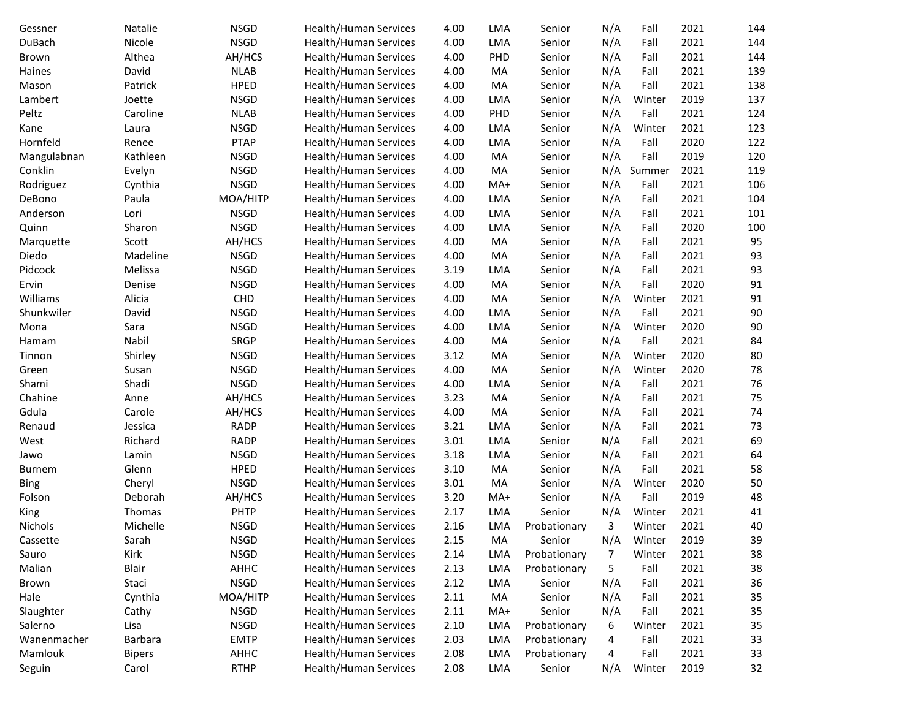| Gessner       | Natalie       | <b>NSGD</b> | Health/Human Services        | 4.00 | LMA        | Senior       | N/A | Fall   | 2021 | 144 |
|---------------|---------------|-------------|------------------------------|------|------------|--------------|-----|--------|------|-----|
| DuBach        | Nicole        | <b>NSGD</b> | Health/Human Services        | 4.00 | LMA        | Senior       | N/A | Fall   | 2021 | 144 |
| Brown         | Althea        | AH/HCS      | Health/Human Services        | 4.00 | PHD        | Senior       | N/A | Fall   | 2021 | 144 |
| Haines        | David         | <b>NLAB</b> | Health/Human Services        | 4.00 | MA         | Senior       | N/A | Fall   | 2021 | 139 |
| Mason         | Patrick       | <b>HPED</b> | Health/Human Services        | 4.00 | MA         | Senior       | N/A | Fall   | 2021 | 138 |
| Lambert       | Joette        | <b>NSGD</b> | <b>Health/Human Services</b> | 4.00 | <b>LMA</b> | Senior       | N/A | Winter | 2019 | 137 |
| Peltz         | Caroline      | <b>NLAB</b> | Health/Human Services        | 4.00 | PHD        | Senior       | N/A | Fall   | 2021 | 124 |
| Kane          | Laura         | <b>NSGD</b> | Health/Human Services        | 4.00 | <b>LMA</b> | Senior       | N/A | Winter | 2021 | 123 |
| Hornfeld      | Renee         | <b>PTAP</b> | Health/Human Services        | 4.00 | <b>LMA</b> | Senior       | N/A | Fall   | 2020 | 122 |
| Mangulabnan   | Kathleen      | <b>NSGD</b> | Health/Human Services        | 4.00 | MA         | Senior       | N/A | Fall   | 2019 | 120 |
| Conklin       | Evelyn        | <b>NSGD</b> | Health/Human Services        | 4.00 | MA         | Senior       | N/A | Summer | 2021 | 119 |
| Rodriguez     | Cynthia       | <b>NSGD</b> | Health/Human Services        | 4.00 | MA+        | Senior       | N/A | Fall   | 2021 | 106 |
| DeBono        | Paula         | MOA/HITP    | Health/Human Services        | 4.00 | LMA        | Senior       | N/A | Fall   | 2021 | 104 |
| Anderson      | Lori          | <b>NSGD</b> | Health/Human Services        | 4.00 | LMA        | Senior       | N/A | Fall   | 2021 | 101 |
| Quinn         | Sharon        | <b>NSGD</b> | Health/Human Services        | 4.00 | <b>LMA</b> | Senior       | N/A | Fall   | 2020 | 100 |
| Marquette     | Scott         | AH/HCS      | Health/Human Services        | 4.00 | MA         | Senior       | N/A | Fall   | 2021 | 95  |
| Diedo         | Madeline      | <b>NSGD</b> | Health/Human Services        | 4.00 | MA         | Senior       | N/A | Fall   | 2021 | 93  |
| Pidcock       | Melissa       | <b>NSGD</b> | Health/Human Services        | 3.19 | <b>LMA</b> | Senior       | N/A | Fall   | 2021 | 93  |
| Ervin         | Denise        | <b>NSGD</b> | Health/Human Services        | 4.00 | MA         | Senior       | N/A | Fall   | 2020 | 91  |
| Williams      | Alicia        | <b>CHD</b>  | Health/Human Services        | 4.00 | MA         | Senior       | N/A | Winter | 2021 | 91  |
| Shunkwiler    | David         | <b>NSGD</b> | Health/Human Services        | 4.00 | <b>LMA</b> | Senior       | N/A | Fall   | 2021 | 90  |
| Mona          | Sara          | <b>NSGD</b> | Health/Human Services        | 4.00 | <b>LMA</b> | Senior       | N/A | Winter | 2020 | 90  |
| Hamam         | Nabil         | <b>SRGP</b> | Health/Human Services        | 4.00 | MA         | Senior       | N/A | Fall   | 2021 | 84  |
| Tinnon        | Shirley       | <b>NSGD</b> | Health/Human Services        | 3.12 | MA         | Senior       | N/A | Winter | 2020 | 80  |
| Green         | Susan         | <b>NSGD</b> | Health/Human Services        | 4.00 | MA         | Senior       | N/A | Winter | 2020 | 78  |
| Shami         | Shadi         | <b>NSGD</b> | Health/Human Services        | 4.00 | <b>LMA</b> | Senior       | N/A | Fall   | 2021 | 76  |
| Chahine       | Anne          | AH/HCS      | Health/Human Services        | 3.23 | MA         | Senior       | N/A | Fall   | 2021 | 75  |
| Gdula         | Carole        | AH/HCS      | Health/Human Services        | 4.00 | MA         | Senior       | N/A | Fall   | 2021 | 74  |
| Renaud        | Jessica       | <b>RADP</b> | Health/Human Services        | 3.21 | LMA        | Senior       | N/A | Fall   | 2021 | 73  |
| West          | Richard       | <b>RADP</b> | Health/Human Services        | 3.01 | LMA        | Senior       | N/A | Fall   | 2021 | 69  |
| Jawo          | Lamin         | <b>NSGD</b> | Health/Human Services        | 3.18 | <b>LMA</b> | Senior       | N/A | Fall   | 2021 | 64  |
| <b>Burnem</b> | Glenn         | <b>HPED</b> | Health/Human Services        | 3.10 | MA         | Senior       | N/A | Fall   | 2021 | 58  |
| <b>Bing</b>   | Cheryl        | <b>NSGD</b> | Health/Human Services        | 3.01 | MA         | Senior       | N/A | Winter | 2020 | 50  |
| Folson        | Deborah       | AH/HCS      | Health/Human Services        | 3.20 | MA+        | Senior       | N/A | Fall   | 2019 | 48  |
| King          | Thomas        | PHTP        | Health/Human Services        | 2.17 | <b>LMA</b> | Senior       | N/A | Winter | 2021 | 41  |
| Nichols       | Michelle      | <b>NSGD</b> | <b>Health/Human Services</b> | 2.16 | LMA        | Probationary | 3   | Winter | 2021 | 40  |
| Cassette      | Sarah         | <b>NSGD</b> | Health/Human Services        | 2.15 | MA         | Senior       | N/A | Winter | 2019 | 39  |
| Sauro         | Kirk          | <b>NSGD</b> | Health/Human Services        | 2.14 | LMA        | Probationary | 7   | Winter | 2021 | 38  |
| Malian        | Blair         | AHHC        | Health/Human Services        | 2.13 | LMA        | Probationary | 5   | Fall   | 2021 | 38  |
| Brown         | Staci         | <b>NSGD</b> | Health/Human Services        | 2.12 | <b>LMA</b> | Senior       | N/A | Fall   | 2021 | 36  |
| Hale          | Cynthia       | MOA/HITP    | Health/Human Services        | 2.11 | MA         | Senior       | N/A | Fall   | 2021 | 35  |
| Slaughter     | Cathy         | <b>NSGD</b> | Health/Human Services        | 2.11 | MA+        | Senior       | N/A | Fall   | 2021 | 35  |
| Salerno       | Lisa          | <b>NSGD</b> | Health/Human Services        | 2.10 | LMA        | Probationary | 6   | Winter | 2021 | 35  |
| Wanenmacher   | Barbara       | <b>EMTP</b> | Health/Human Services        | 2.03 | LMA        | Probationary | 4   | Fall   | 2021 | 33  |
| Mamlouk       | <b>Bipers</b> | AHHC        | Health/Human Services        | 2.08 | LMA        | Probationary | 4   | Fall   | 2021 | 33  |
| Seguin        | Carol         | <b>RTHP</b> | Health/Human Services        | 2.08 | LMA        | Senior       | N/A | Winter | 2019 | 32  |
|               |               |             |                              |      |            |              |     |        |      |     |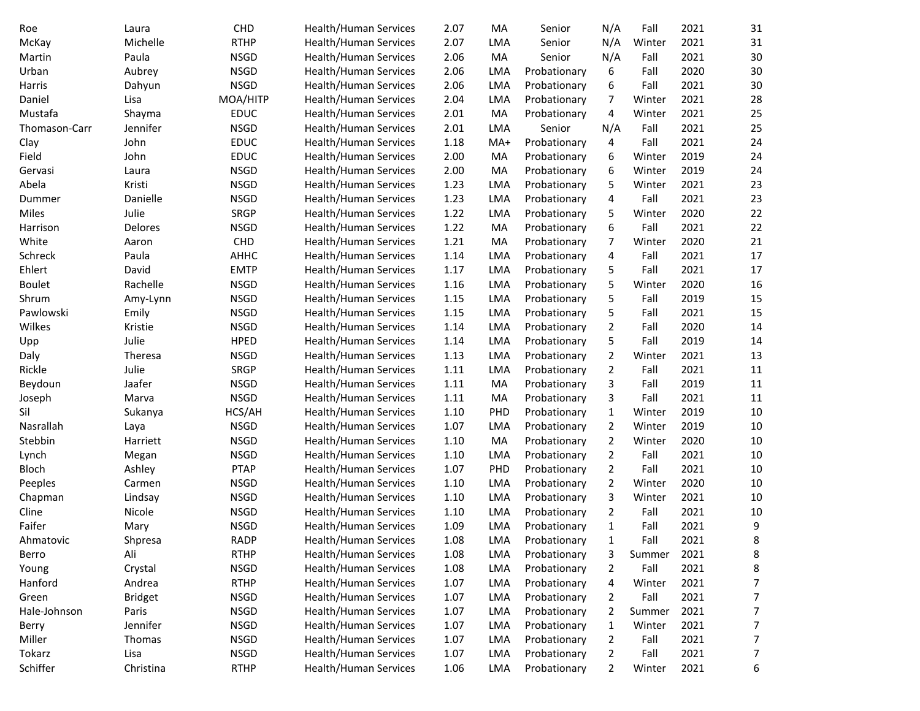| Roe           | Laura          | <b>CHD</b>  | Health/Human Services        | 2.07 | MA         | Senior       | N/A            | Fall   | 2021 | 31     |
|---------------|----------------|-------------|------------------------------|------|------------|--------------|----------------|--------|------|--------|
| McKay         | Michelle       | <b>RTHP</b> | Health/Human Services        | 2.07 | <b>LMA</b> | Senior       | N/A            | Winter | 2021 | 31     |
| Martin        | Paula          | <b>NSGD</b> | Health/Human Services        | 2.06 | MA         | Senior       | N/A            | Fall   | 2021 | 30     |
| Urban         | Aubrey         | <b>NSGD</b> | Health/Human Services        | 2.06 | <b>LMA</b> | Probationary | 6              | Fall   | 2020 | 30     |
| Harris        | Dahyun         | <b>NSGD</b> | Health/Human Services        | 2.06 | <b>LMA</b> | Probationary | 6              | Fall   | 2021 | 30     |
| Daniel        | Lisa           | MOA/HITP    | Health/Human Services        | 2.04 | <b>LMA</b> | Probationary | 7              | Winter | 2021 | 28     |
| Mustafa       | Shayma         | <b>EDUC</b> | Health/Human Services        | 2.01 | MA         | Probationary | 4              | Winter | 2021 | 25     |
| Thomason-Carr | Jennifer       | <b>NSGD</b> | Health/Human Services        | 2.01 | LMA        | Senior       | N/A            | Fall   | 2021 | 25     |
| Clay          | John           | <b>EDUC</b> | <b>Health/Human Services</b> | 1.18 | MA+        | Probationary | 4              | Fall   | 2021 | 24     |
| Field         | John           | <b>EDUC</b> | Health/Human Services        | 2.00 | MA         | Probationary | 6              | Winter | 2019 | 24     |
| Gervasi       | Laura          | <b>NSGD</b> | Health/Human Services        | 2.00 | MA         | Probationary | 6              | Winter | 2019 | 24     |
| Abela         | Kristi         | <b>NSGD</b> | <b>Health/Human Services</b> | 1.23 | <b>LMA</b> | Probationary | 5              | Winter | 2021 | 23     |
| Dummer        | Danielle       | <b>NSGD</b> | Health/Human Services        | 1.23 | <b>LMA</b> | Probationary | 4              | Fall   | 2021 | 23     |
| Miles         | Julie          | <b>SRGP</b> | Health/Human Services        | 1.22 | <b>LMA</b> | Probationary | 5              | Winter | 2020 | 22     |
| Harrison      | Delores        | <b>NSGD</b> | Health/Human Services        | 1.22 | MA         | Probationary | 6              | Fall   | 2021 | 22     |
| White         | Aaron          | <b>CHD</b>  | Health/Human Services        | 1.21 | MA         | Probationary | 7              | Winter | 2020 | 21     |
| Schreck       | Paula          | AHHC        | <b>Health/Human Services</b> | 1.14 | <b>LMA</b> | Probationary | 4              | Fall   | 2021 | 17     |
| Ehlert        | David          | <b>EMTP</b> | Health/Human Services        | 1.17 | <b>LMA</b> | Probationary | 5              | Fall   | 2021 | 17     |
| <b>Boulet</b> | Rachelle       | <b>NSGD</b> | Health/Human Services        | 1.16 | <b>LMA</b> | Probationary | 5              | Winter | 2020 | 16     |
| Shrum         | Amy-Lynn       | <b>NSGD</b> | Health/Human Services        | 1.15 | <b>LMA</b> | Probationary | 5              | Fall   | 2019 | 15     |
| Pawlowski     | Emily          | <b>NSGD</b> | Health/Human Services        | 1.15 | <b>LMA</b> | Probationary | 5              | Fall   | 2021 | 15     |
| Wilkes        | Kristie        | <b>NSGD</b> | Health/Human Services        | 1.14 | <b>LMA</b> | Probationary | $\overline{2}$ | Fall   | 2020 | 14     |
| Upp           | Julie          | <b>HPED</b> | Health/Human Services        | 1.14 | <b>LMA</b> | Probationary | 5              | Fall   | 2019 | 14     |
| Daly          | Theresa        | <b>NSGD</b> | Health/Human Services        | 1.13 | <b>LMA</b> | Probationary | 2              | Winter | 2021 | 13     |
| Rickle        | Julie          | SRGP        | Health/Human Services        | 1.11 | <b>LMA</b> | Probationary | 2              | Fall   | 2021 | $11\,$ |
| Beydoun       | Jaafer         | <b>NSGD</b> | Health/Human Services        | 1.11 | MA         | Probationary | 3              | Fall   | 2019 | $11\,$ |
| Joseph        | Marva          | <b>NSGD</b> | Health/Human Services        | 1.11 | MA         | Probationary | 3              | Fall   | 2021 | $11\,$ |
| Sil           | Sukanya        | HCS/AH      | Health/Human Services        | 1.10 | PHD        | Probationary | $\mathbf{1}$   | Winter | 2019 | 10     |
| Nasrallah     | Laya           | <b>NSGD</b> | Health/Human Services        | 1.07 | <b>LMA</b> | Probationary | $\overline{2}$ | Winter | 2019 | 10     |
| Stebbin       | Harriett       | <b>NSGD</b> | Health/Human Services        | 1.10 | MA         | Probationary | 2              | Winter | 2020 | 10     |
| Lynch         | Megan          | <b>NSGD</b> | Health/Human Services        | 1.10 | <b>LMA</b> | Probationary | $\overline{2}$ | Fall   | 2021 | 10     |
| Bloch         | Ashley         | <b>PTAP</b> | Health/Human Services        | 1.07 | PHD        | Probationary | $\overline{2}$ | Fall   | 2021 | 10     |
| Peeples       | Carmen         | <b>NSGD</b> | Health/Human Services        | 1.10 | <b>LMA</b> | Probationary | 2              | Winter | 2020 | 10     |
| Chapman       | Lindsay        | <b>NSGD</b> | Health/Human Services        | 1.10 | <b>LMA</b> | Probationary | 3              | Winter | 2021 | 10     |
| Cline         | Nicole         | <b>NSGD</b> | Health/Human Services        | 1.10 | <b>LMA</b> | Probationary | 2              | Fall   | 2021 | 10     |
| Faifer        | Mary           | <b>NSGD</b> | <b>Health/Human Services</b> | 1.09 | <b>LMA</b> | Probationary | $\mathbf{1}$   | Fall   | 2021 | 9      |
| Ahmatovic     | Shpresa        | <b>RADP</b> | <b>Health/Human Services</b> | 1.08 | <b>LMA</b> | Probationary | 1              | Fall   | 2021 | 8      |
| Berro         | Ali            | <b>RTHP</b> | Health/Human Services        | 1.08 | LMA        | Probationary | 3              | Summer | 2021 | 8      |
| Young         | Crystal        | <b>NSGD</b> | <b>Health/Human Services</b> | 1.08 | LMA        | Probationary | $\overline{2}$ | Fall   | 2021 | 8      |
| Hanford       | Andrea         | <b>RTHP</b> | <b>Health/Human Services</b> | 1.07 | <b>LMA</b> | Probationary | 4              | Winter | 2021 | 7      |
| Green         | <b>Bridget</b> | <b>NSGD</b> | Health/Human Services        | 1.07 | <b>LMA</b> | Probationary | 2              | Fall   | 2021 | 7      |
| Hale-Johnson  | Paris          | <b>NSGD</b> | <b>Health/Human Services</b> | 1.07 | LMA        | Probationary | 2              | Summer | 2021 | 7      |
| Berry         | Jennifer       | <b>NSGD</b> | Health/Human Services        | 1.07 | <b>LMA</b> | Probationary | 1              | Winter | 2021 | 7      |
| Miller        | Thomas         | <b>NSGD</b> | Health/Human Services        | 1.07 | <b>LMA</b> | Probationary | 2              | Fall   | 2021 | 7      |
| Tokarz        | Lisa           | <b>NSGD</b> | Health/Human Services        | 1.07 | <b>LMA</b> | Probationary | $\overline{2}$ | Fall   | 2021 | 7      |
| Schiffer      | Christina      | <b>RTHP</b> | Health/Human Services        | 1.06 | LMA        | Probationary | $\overline{2}$ | Winter | 2021 | 6      |
|               |                |             |                              |      |            |              |                |        |      |        |